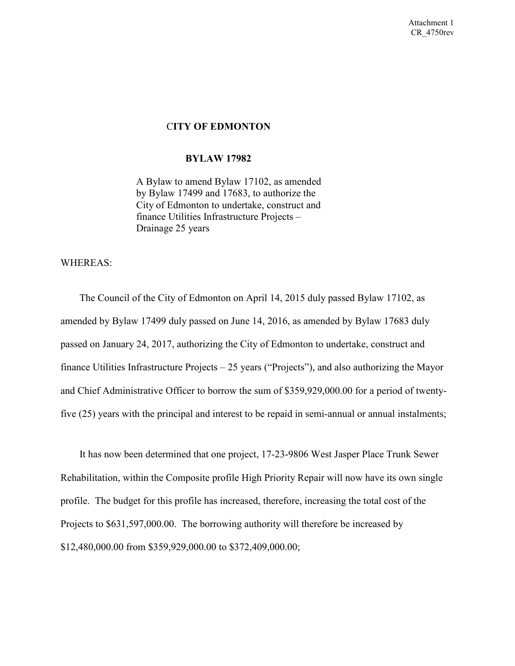## C**ITY OF EDMONTON**

### **BYLAW 17982**

 A Bylaw to amend Bylaw 17102, as amended by Bylaw 17499 and 17683, to authorize the City of Edmonton to undertake, construct and finance Utilities Infrastructure Projects – Drainage 25 years

### WHEREAS:

 The Council of the City of Edmonton on April 14, 2015 duly passed Bylaw 17102, as amended by Bylaw 17499 duly passed on June 14, 2016, as amended by Bylaw 17683 duly passed on January 24, 2017, authorizing the City of Edmonton to undertake, construct and finance Utilities Infrastructure Projects – 25 years ("Projects"), and also authorizing the Mayor and Chief Administrative Officer to borrow the sum of \$359,929,000.00 for a period of twentyfive (25) years with the principal and interest to be repaid in semi-annual or annual instalments;

 It has now been determined that one project, 17-23-9806 West Jasper Place Trunk Sewer Rehabilitation, within the Composite profile High Priority Repair will now have its own single profile. The budget for this profile has increased, therefore, increasing the total cost of the Projects to \$631,597,000.00. The borrowing authority will therefore be increased by \$12,480,000.00 from \$359,929,000.00 to \$372,409,000.00;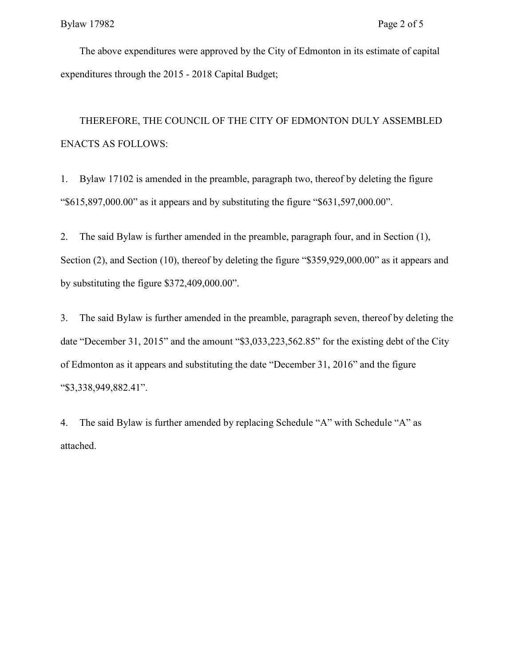The above expenditures were approved by the City of Edmonton in its estimate of capital expenditures through the 2015 - 2018 Capital Budget;

 THEREFORE, THE COUNCIL OF THE CITY OF EDMONTON DULY ASSEMBLED ENACTS AS FOLLOWS:

1. Bylaw 17102 is amended in the preamble, paragraph two, thereof by deleting the figure "\$615,897,000.00" as it appears and by substituting the figure "\$631,597,000.00".

2. The said Bylaw is further amended in the preamble, paragraph four, and in Section (1), Section (2), and Section (10), thereof by deleting the figure "\$359,929,000.00" as it appears and by substituting the figure \$372,409,000.00".

3. The said Bylaw is further amended in the preamble, paragraph seven, thereof by deleting the date "December 31, 2015" and the amount "\$3,033,223,562.85" for the existing debt of the City of Edmonton as it appears and substituting the date "December 31, 2016" and the figure "\$3,338,949,882.41".

4. The said Bylaw is further amended by replacing Schedule "A" with Schedule "A" as attached.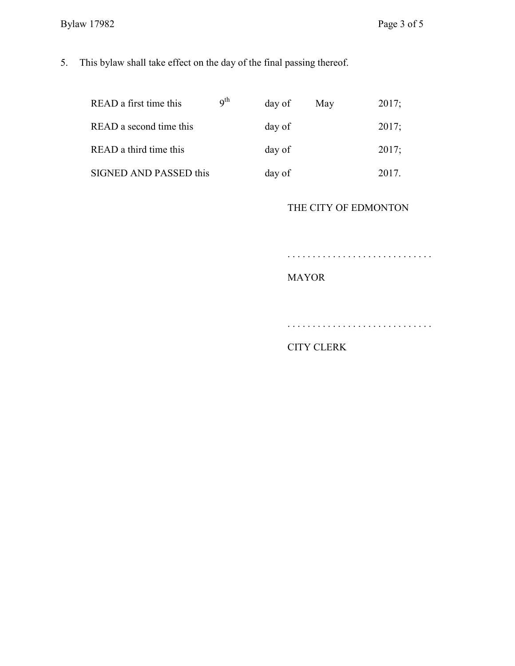5. This bylaw shall take effect on the day of the final passing thereof.

| READ a first time this        | q <sup>th</sup> | day of | May | 2017; |
|-------------------------------|-----------------|--------|-----|-------|
| READ a second time this       |                 | day of |     | 2017; |
| READ a third time this        |                 | day of |     | 2017; |
| <b>SIGNED AND PASSED this</b> |                 | day of |     | 2017  |

## THE CITY OF EDMONTON

. . . . . . . . . . . . . . . . . . . . . . . . . . . . .

# MAYOR

. . . . . . . . . . . . . . . . . . . . . . . . . . . . .

## CITY CLERK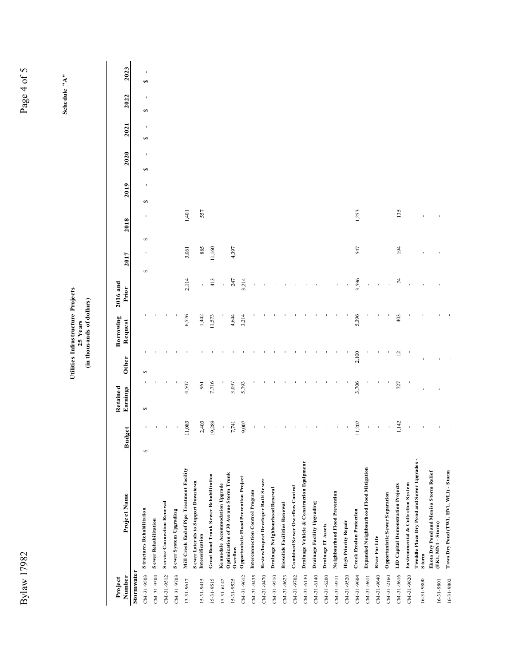|               | l                  |   |
|---------------|--------------------|---|
|               | i                  |   |
|               | 1                  |   |
|               | j<br>i             | ) |
| ſ             | l                  |   |
|               |                    |   |
|               |                    |   |
|               |                    |   |
|               |                    |   |
|               |                    |   |
|               |                    |   |
|               |                    |   |
|               |                    |   |
|               |                    |   |
|               |                    |   |
|               |                    |   |
|               |                    |   |
|               |                    |   |
|               |                    |   |
|               |                    |   |
|               |                    |   |
|               |                    |   |
|               |                    |   |
|               |                    |   |
|               |                    |   |
|               |                    |   |
|               |                    |   |
|               |                    |   |
|               |                    |   |
|               |                    |   |
|               |                    |   |
|               |                    |   |
|               |                    |   |
|               |                    |   |
|               |                    |   |
|               |                    |   |
|               |                    |   |
|               |                    |   |
|               |                    |   |
|               |                    |   |
|               |                    |   |
|               |                    |   |
|               |                    |   |
|               |                    |   |
|               |                    |   |
|               |                    |   |
|               |                    |   |
|               |                    |   |
|               |                    |   |
|               |                    |   |
|               |                    |   |
|               |                    |   |
|               |                    |   |
|               |                    |   |
|               |                    |   |
|               |                    |   |
|               |                    |   |
|               |                    |   |
|               |                    |   |
|               |                    |   |
|               |                    |   |
|               |                    |   |
|               |                    |   |
|               | )<br>)<br>)        |   |
| $\frac{1}{2}$ |                    |   |
|               | l                  |   |
|               |                    |   |
|               | $\frac{1}{2}$<br>i |   |
| ļ             | I                  |   |
|               |                    |   |

Page 4 of 5

Schedule " $A$ " **Schedule "A"**

# **Utilities Infrastructure Projects 1000** Utilities Infrastructure Projects<br>25 Years<br>(in thousands of dollars) **(in thousands of dollars)**

| Project          |                                                              |           | Retained |                | Borrowing | 2016 and        |                     |        |                   |                     |                   |                     |                     |
|------------------|--------------------------------------------------------------|-----------|----------|----------------|-----------|-----------------|---------------------|--------|-------------------|---------------------|-------------------|---------------------|---------------------|
| Number           | Project Name                                                 | t<br>Budg | Earnings | Other          | Request   | Prior           | 2017                | 2018   | 2019              | 2020                | 2021              | 2022                | 2023                |
| Stormwater       |                                                              |           |          |                |           |                 |                     |        |                   |                     |                   |                     |                     |
| $CM - 31 - 9503$ | <b>Structures Rehabilitation</b>                             | ٠<br>s    | ↮        | s              |           |                 | $\blacksquare$<br>s | ı<br>s | $\mathbf{I}$<br>↮ | $\blacksquare$<br>↮ | $\mathbf{I}$<br>S | $\blacksquare$<br>S | $\blacksquare$<br>S |
| $CM - 31 - 9504$ | <b>Sewer Rehabilitation</b>                                  |           |          |                |           |                 |                     |        |                   |                     |                   |                     |                     |
| CM-31-9512       | Service Connection Renewal                                   |           |          |                |           |                 |                     |        |                   |                     |                   |                     |                     |
| CM-31-9703       | Sewer System Upgrading                                       |           |          |                |           |                 |                     |        |                   |                     |                   |                     |                     |
| 13-31-9617       | Mill Creek End of Pipe Treatment Facility                    | 11,083    | 4,507    |                | 6,576     | 2,114           | 3,061               | 1,401  |                   |                     |                   |                     |                     |
| 15-31-9415       | Sewer Laterals to Support Downtown<br>Intensification        | 2,403     | 961      |                | 1,442     |                 | 885                 | 557    |                   |                     |                   |                     |                     |
| 15-31-9515       | Groat Road Trunk Sewer Rehabilitation                        | 19,289    | 7,716    |                | 11,573    | 413             | 11,160              |        |                   |                     |                   |                     |                     |
| $15-31-6142$     | Kennedale Accommodation Upgrade                              | ı         |          |                |           |                 |                     |        |                   |                     |                   |                     |                     |
| 15-31-9525       | Optimization of 30 Avenue Storm Trunk<br>Overflow            | 7,741     | 3,097    |                | 4,644     | 247             | 4,397               |        |                   |                     |                   |                     |                     |
| CM-31-9612       | Opportunistic Flood Prevention Project                       | 9,007     | 5,793    |                | 3,214     | 3,214           |                     |        |                   |                     |                   |                     |                     |
| $CM-31-9435$     | Interconnection Control Program                              |           |          |                |           |                 |                     |        |                   |                     |                   |                     |                     |
| CM-31-9470       | ReviewInspect Developer Built Sewer                          |           |          |                |           |                 |                     |        |                   |                     |                   |                     |                     |
| $CM-31-9510$     | Drainage Neighbourhood Renewal                               |           |          |                |           |                 |                     |        |                   |                     |                   |                     |                     |
| CM-31-9623       | <b>Biosolids Facilities Renewal</b>                          |           |          |                |           |                 |                     |        |                   |                     |                   |                     |                     |
| CM-31-9702       | Combined Sewer Overflow Control                              |           |          |                |           |                 |                     |        |                   |                     |                   |                     |                     |
| $CM-31-6130$     | Drainage Vehicle & Construction Equipment                    |           |          |                |           |                 |                     |        |                   |                     |                   |                     |                     |
| $CM-31-6140$     | Drainage Facility Upgrading                                  |           |          |                |           |                 |                     |        |                   |                     |                   |                     |                     |
| $CM - 31 - 6200$ | Drainage IT Assets                                           |           |          |                |           |                 |                     |        |                   |                     |                   |                     |                     |
| $CM-31-9511$     | Neighbourhood Flood Prevention                               |           |          |                |           |                 |                     |        |                   |                     |                   |                     |                     |
| CM-31-9520       | <b>High Priority Repair</b>                                  |           |          |                |           |                 |                     |        |                   |                     |                   |                     |                     |
| $CM - 31 - 9604$ | <b>Creek Erosion Protection</b>                              | 1,202     | 3,706    | 2,100          | 5,396     | 3,596           | 547                 | 1,253  |                   |                     |                   |                     |                     |
| CM-31-9611       | Expanded Neighbourhood Flood Mitigation                      |           |          |                |           |                 |                     |        |                   |                     |                   |                     |                     |
| $CM - 31 - 9640$ | River For Life                                               |           |          |                |           |                 |                     |        |                   |                     |                   |                     |                     |
| $CM - 31 - 2160$ | Opportunistic Sewer Separation                               |           |          |                |           |                 |                     |        |                   |                     |                   |                     |                     |
| $CM-31-9616$     | LID Capital Demonstration Projects                           | 1,142     | 727      | $\overline{c}$ | 403       | $\overline{74}$ | 194                 | 135    |                   |                     |                   |                     |                     |
| $CM - 31 - 9620$ | Environmental & Collection System                            |           |          |                |           |                 |                     |        |                   |                     |                   |                     |                     |
| 16-31-9800       | Tweddle Place Dry Pond and Sewer Upgrades<br><b>Storm</b>    |           |          |                |           |                 |                     |        |                   |                     |                   |                     |                     |
| 16-31-9801       | Ekota Dry Pond and Menisa Storm Relief<br>(EK1, MN1 - Storm) |           |          |                |           |                 |                     |        |                   |                     |                   |                     |                     |
| 16-31-9802       | Tawa Dry Pond (TW1, HV1, WL1) - Storm                        |           |          |                |           |                 |                     |        |                   |                     |                   |                     |                     |